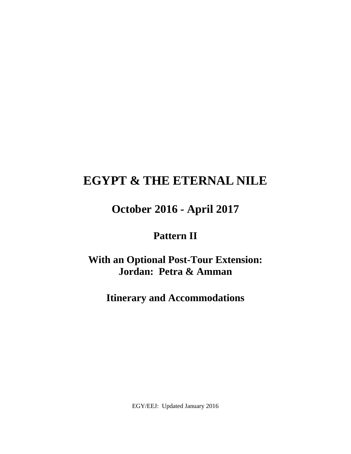# **EGYPT & THE ETERNAL NILE**

# **October 2016 - April 2017**

# **Pattern II**

**With an Optional Post-Tour Extension: Jordan: Petra & Amman** 

**Itinerary and Accommodations** 

EGY/EEJ: Updated January 2016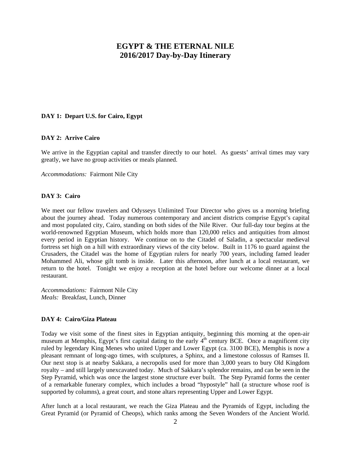# **EGYPT & THE ETERNAL NILE 2016/2017 Day-by-Day Itinerary**

#### **DAY 1: Depart U.S. for Cairo, Egypt**

#### **DAY 2: Arrive Cairo**

We arrive in the Egyptian capital and transfer directly to our hotel. As guests' arrival times may vary greatly, we have no group activities or meals planned.

*Accommodations:* Fairmont Nile City

#### **DAY 3: Cairo**

We meet our fellow travelers and Odysseys Unlimited Tour Director who gives us a morning briefing about the journey ahead. Today numerous contemporary and ancient districts comprise Egypt's capital and most populated city, Cairo, standing on both sides of the Nile River. Our full-day tour begins at the world-renowned Egyptian Museum, which holds more than 120,000 relics and antiquities from almost every period in Egyptian history. We continue on to the Citadel of Saladin, a spectacular medieval fortress set high on a hill with extraordinary views of the city below. Built in 1176 to guard against the Crusaders, the Citadel was the home of Egyptian rulers for nearly 700 years, including famed leader Mohammed Ali, whose gilt tomb is inside. Later this afternoon, after lunch at a local restaurant, we return to the hotel. Tonight we enjoy a reception at the hotel before our welcome dinner at a local restaurant.

*Accommodations:* Fairmont Nile City *Meals:* Breakfast, Lunch, Dinner

# **DAY 4: Cairo/Giza Plateau**

Today we visit some of the finest sites in Egyptian antiquity, beginning this morning at the open-air museum at Memphis, Egypt's first capital dating to the early  $4<sup>th</sup>$  century BCE. Once a magnificent city ruled by legendary King Menes who united Upper and Lower Egypt (ca. 3100 BCE), Memphis is now a pleasant remnant of long-ago times, with sculptures, a Sphinx, and a limestone colossus of Ramses II. Our next stop is at nearby Sakkara, a necropolis used for more than 3,000 years to bury Old Kingdom royalty – and still largely unexcavated today. Much of Sakkara's splendor remains, and can be seen in the Step Pyramid, which was once the largest stone structure ever built. The Step Pyramid forms the center of a remarkable funerary complex, which includes a broad "hypostyle" hall (a structure whose roof is supported by columns), a great court, and stone altars representing Upper and Lower Egypt.

After lunch at a local restaurant, we reach the Giza Plateau and the Pyramids of Egypt, including the Great Pyramid (or Pyramid of Cheops), which ranks among the Seven Wonders of the Ancient World.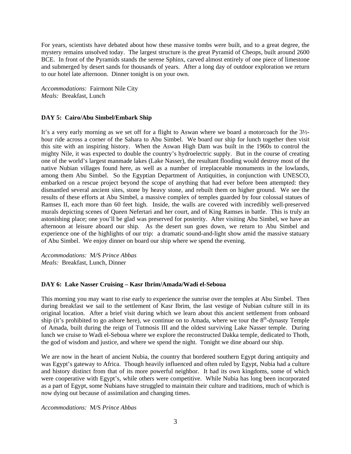For years, scientists have debated about how these massive tombs were built, and to a great degree, the mystery remains unsolved today. The largest structure is the great Pyramid of Cheops, built around 2600 BCE. In front of the Pyramids stands the serene Sphinx, carved almost entirely of one piece of limestone and submerged by desert sands for thousands of years. After a long day of outdoor exploration we return to our hotel late afternoon. Dinner tonight is on your own.

*Accommodations:* Fairmont Nile City *Meals:* Breakfast, Lunch

# **DAY 5: Cairo/Abu Simbel/Embark Ship**

It's a very early morning as we set off for a flight to Aswan where we board a motorcoach for the 3½ hour ride across a corner of the Sahara to Abu Simbel. We board our ship for lunch together then visit this site with an inspiring history. When the Aswan High Dam was built in the 1960s to control the mighty Nile, it was expected to double the country's hydroelectric supply. But in the course of creating one of the world's largest manmade lakes (Lake Nasser), the resultant flooding would destroy most of the native Nubian villages found here, as well as a number of irreplaceable monuments in the lowlands, among them Abu Simbel. So the Egyptian Department of Antiquities, in conjunction with UNESCO, embarked on a rescue project beyond the scope of anything that had ever before been attempted: they dismantled several ancient sites, stone by heavy stone, and rebuilt them on higher ground. We see the results of these efforts at Abu Simbel, a massive complex of temples guarded by four colossal statues of Ramses II, each more than 60 feet high. Inside, the walls are covered with incredibly well-preserved murals depicting scenes of Queen Nefertari and her court, and of King Ramses in battle. This is truly an astonishing place; one you'll be glad was preserved for posterity. After visiting Abu Simbel, we have an afternoon at leisure aboard our ship. As the desert sun goes down, we return to Abu Simbel and experience one of the highlights of our trip: a dramatic sound-and-light show amid the massive statuary of Abu Simbel. We enjoy dinner on board our ship where we spend the evening.

*Accommodations:* M/S *Prince Abbas Meals:* Breakfast, Lunch, Dinner

#### **DAY 6: Lake Nasser Cruising – Kasr Ibrim/Amada/Wadi el-Seboua**

This morning you may want to rise early to experience the sunrise over the temples at Abu Simbel. Then during breakfast we sail to the settlement of Kasr Ibrim, the last vestige of Nubian culture still in its original location. After a brief visit during which we learn about this ancient settlement from onboard ship (it's prohibited to go ashore here), we continue on to Amada, where we tour the  $8<sup>th</sup>$ -dynasty Temple of Amada, built during the reign of Tutmosis III and the oldest surviving Lake Nasser temple. During lunch we cruise to Wadi el-Seboua where we explore the reconstructed Dakka temple, dedicated to Thoth, the god of wisdom and justice, and where we spend the night. Tonight we dine aboard our ship.

We are now in the heart of ancient Nubia, the country that bordered southern Egypt during antiquity and was Egypt's gateway to Africa. Though heavily influenced and often ruled by Egypt, Nubia had a culture and history distinct from that of its more powerful neighbor. It had its own kingdoms, some of which were cooperative with Egypt's, while others were competitive. While Nubia has long been incorporated as a part of Egypt, some Nubians have struggled to maintain their culture and traditions, much of which is now dying out because of assimilation and changing times.

*Accommodations:* M/S *Prince Abbas*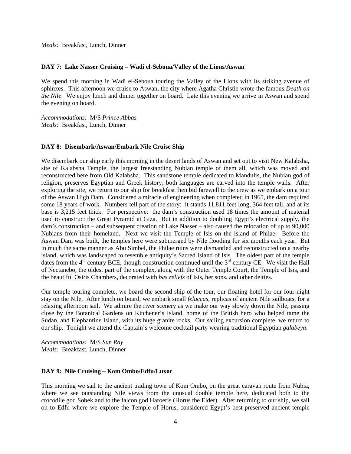*Meals:* Breakfast, Lunch, Dinner

#### **DAY 7: Lake Nasser Cruising – Wadi el-Seboua/Valley of the Lions/Aswan**

We spend this morning in Wadi el-Seboua touring the Valley of the Lions with its striking avenue of sphinxes. This afternoon we cruise to Aswan, the city where Agatha Christie wrote the famous *Death on the Nile*. We enjoy lunch and dinner together on board. Late this evening we arrive in Aswan and spend the evening on board.

*Accommodations:* M/S *Prince Abbas Meals:* Breakfast, Lunch, Dinner

#### **DAY 8: Disembark/Aswan/Embark Nile Cruise Ship**

We disembark our ship early this morning in the desert lands of Aswan and set out to visit New Kalabsha, site of Kalabsha Temple, the largest freestanding Nubian temple of them all, which was moved and reconstructed here from Old Kalabsha. This sandstone temple dedicated to Mandulis, the Nubian god of religion, preserves Egyptian and Greek history; both languages are carved into the temple walls. After exploring the site, we return to our ship for breakfast then bid farewell to the crew as we embark on a tour of the Aswan High Dam. Considered a miracle of engineering when completed in 1965, the dam required some 18 years of work. Numbers tell part of the story: it stands 11,811 feet long, 364 feet tall, and at its base is 3,215 feet thick. For perspective: the dam's construction used 18 times the amount of material used to construct the Great Pyramid at Giza. But in addition to doubling Egypt's electrical supply, the dam's construction – and subsequent creation of Lake Nasser – also caused the relocation of up to 90,000 Nubians from their homeland. Next we visit the Temple of Isis on the island of Philae. Before the Aswan Dam was built, the temples here were submerged by Nile flooding for six months each year. But in much the same manner as Abu Simbel, the Philae ruins were dismantled and reconstructed on a nearby island, which was landscaped to resemble antiquity's Sacred Island of Isis. The oldest part of the temple dates from the  $4<sup>th</sup>$  century BCE, though construction continued until the  $3<sup>rd</sup>$  century CE. We visit the Hall of Nectanebo, the oldest part of the complex, along with the Outer Temple Court, the Temple of Isis, and the beautiful Osiris Chambers, decorated with *bas reliefs* of Isis, her sons, and other deities.

Our temple touring complete, we board the second ship of the tour, our floating hotel for our four-night stay on the Nile. After lunch on board, we embark small *feluccas*, replicas of ancient Nile sailboats, for a relaxing afternoon sail. We admire the river scenery as we make our way slowly down the Nile, passing close by the Botanical Gardens on Kitchener's Island, home of the British hero who helped tame the Sudan, and Elephantine Island, with its huge granite rocks. Our sailing excursion complete, we return to our ship. Tonight we attend the Captain's welcome cocktail party wearing traditional Egyptian *galabeya*.

*Accommodations:* M/S *Sun Ray Meals:* Breakfast, Lunch, Dinner

#### **DAY 9: Nile Cruising – Kom Ombo/Edfu/Luxor**

This morning we sail to the ancient trading town of Kom Ombo, on the great caravan route from Nubia, where we see outstanding Nile views from the unusual double temple here, dedicated both to the crocodile god Sobek and to the falcon god Haroeris (Horus the Elder). After returning to our ship, we sail on to Edfu where we explore the Temple of Horus, considered Egypt's best-preserved ancient temple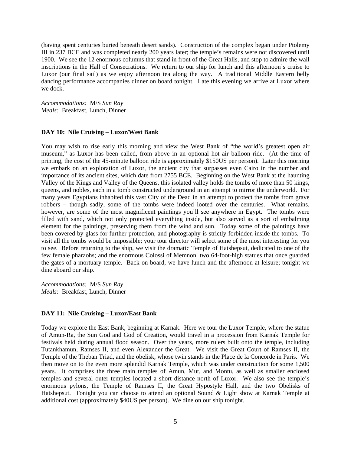(having spent centuries buried beneath desert sands). Construction of the complex began under Ptolemy III in 237 BCE and was completed nearly 200 years later; the temple's remains were not discovered until 1900. We see the 12 enormous columns that stand in front of the Great Halls, and stop to admire the wall inscriptions in the Hall of Consecrations. We return to our ship for lunch and this afternoon's cruise to Luxor (our final sail) as we enjoy afternoon tea along the way. A traditional Middle Eastern belly dancing performance accompanies dinner on board tonight. Late this evening we arrive at Luxor where we dock.

*Accommodations:* M/S *Sun Ray Meals:* Breakfast, Lunch, Dinner

# **DAY 10: Nile Cruising – Luxor/West Bank**

You may wish to rise early this morning and view the West Bank of "the world's greatest open air museum," as Luxor has been called, from above in an optional hot air balloon ride. (At the time of printing, the cost of the 45-minute balloon ride is approximately \$150US per person). Later this morning we embark on an exploration of Luxor, the ancient city that surpasses even Cairo in the number and importance of its ancient sites, which date from 2755 BCE. Beginning on the West Bank at the haunting Valley of the Kings and Valley of the Queens, this isolated valley holds the tombs of more than 50 kings, queens, and nobles, each in a tomb constructed underground in an attempt to mirror the underworld. For many years Egyptians inhabited this vast City of the Dead in an attempt to protect the tombs from grave robbers – though sadly, some of the tombs were indeed looted over the centuries. What remains, however, are some of the most magnificent paintings you'll see anywhere in Egypt. The tombs were filled with sand, which not only protected everything inside, but also served as a sort of embalming element for the paintings, preserving them from the wind and sun. Today some of the paintings have been covered by glass for further protection, and photography is strictly forbidden inside the tombs. To visit all the tombs would be impossible; your tour director will select some of the most interesting for you to see. Before returning to the ship, we visit the dramatic Temple of Hatshepsut, dedicated to one of the few female pharaohs; and the enormous Colossi of Memnon, two 64-foot-high statues that once guarded the gates of a mortuary temple. Back on board, we have lunch and the afternoon at leisure; tonight we dine aboard our ship.

*Accommodations:* M/S *Sun Ray Meals:* Breakfast, Lunch, Dinner

#### **DAY 11: Nile Cruising – Luxor/East Bank**

Today we explore the East Bank, beginning at Karnak. Here we tour the Luxor Temple, where the statue of Amun-Ra, the Sun God and God of Creation, would travel in a procession from Karnak Temple for festivals held during annual flood season. Over the years, more rulers built onto the temple, including Tutankhamun, Ramses II, and even Alexander the Great. We visit the Great Court of Ramses II, the Temple of the Theban Triad, and the obelisk, whose twin stands in the Place de la Concorde in Paris. We then move on to the even more splendid Karnak Temple, which was under construction for some 1,500 years. It comprises the three main temples of Amun, Mut, and Montu, as well as smaller enclosed temples and several outer temples located a short distance north of Luxor. We also see the temple's enormous pylons, the Temple of Ramses II, the Great Hypostyle Hall, and the two Obelisks of Hatshepsut. Tonight you can choose to attend an optional Sound & Light show at Karnak Temple at additional cost (approximately \$40US per person). We dine on our ship tonight.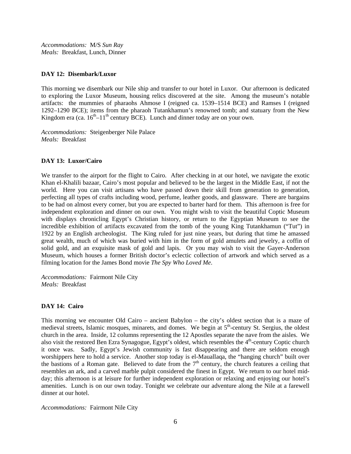*Accommodations:* M/S *Sun Ray Meals:* Breakfast, Lunch, Dinner

#### **DAY 12: Disembark/Luxor**

This morning we disembark our Nile ship and transfer to our hotel in Luxor. Our afternoon is dedicated to exploring the Luxor Museum, housing relics discovered at the site. Among the museum's notable artifacts: the mummies of pharaohs Ahmose I (reigned ca. 1539–1514 BCE) and Ramses I (reigned 1292–1290 BCE); items from the pharaoh Tutankhamun's renowned tomb; and statuary from the New Kingdom era (ca.  $16<sup>th</sup>-11<sup>th</sup>$  century BCE). Lunch and dinner today are on your own.

*Accommodations:* Steigenberger Nile Palace *Meals:* Breakfast

# **DAY 13: Luxor/Cairo**

We transfer to the airport for the flight to Cairo. After checking in at our hotel, we navigate the exotic Khan el-Khalili bazaar, Cairo's most popular and believed to be the largest in the Middle East, if not the world. Here you can visit artisans who have passed down their skill from generation to generation, perfecting all types of crafts including wood, perfume, leather goods, and glassware. There are bargains to be had on almost every corner, but you are expected to barter hard for them. This afternoon is free for independent exploration and dinner on our own. You might wish to visit the beautiful Coptic Museum with displays chronicling Egypt's Christian history, or return to the Egyptian Museum to see the incredible exhibition of artifacts excavated from the tomb of the young King Tutankhamun ("Tut") in 1922 by an English archeologist. The King ruled for just nine years, but during that time he amassed great wealth, much of which was buried with him in the form of gold amulets and jewelry, a coffin of solid gold, and an exquisite mask of gold and lapis. Or you may wish to visit the Gayer-Anderson Museum, which houses a former British doctor's eclectic collection of artwork and which served as a filming location for the James Bond movie *The Spy Who Loved Me*.

*Accommodations:* Fairmont Nile City *Meals:* Breakfast

# **DAY 14: Cairo**

This morning we encounter Old Cairo – ancient Babylon – the city's oldest section that is a maze of medieval streets, Islamic mosques, minarets, and domes. We begin at 5<sup>th</sup>-century St. Sergius, the oldest church in the area. Inside, 12 columns representing the 12 Apostles separate the nave from the aisles. We also visit the restored Ben Ezra Synagogue, Egypt's oldest, which resembles the 4<sup>th</sup>-century Coptic church it once was. Sadly, Egypt's Jewish community is fast disappearing and there are seldom enough worshippers here to hold a service. Another stop today is el-Mauallaqa, the "hanging church" built over the bastions of a Roman gate. Believed to date from the  $7<sup>th</sup>$  century, the church features a ceiling that resembles an ark, and a carved marble pulpit considered the finest in Egypt. We return to our hotel midday; this afternoon is at leisure for further independent exploration or relaxing and enjoying our hotel's amenities. Lunch is on our own today. Tonight we celebrate our adventure along the Nile at a farewell dinner at our hotel.

*Accommodations:* Fairmont Nile City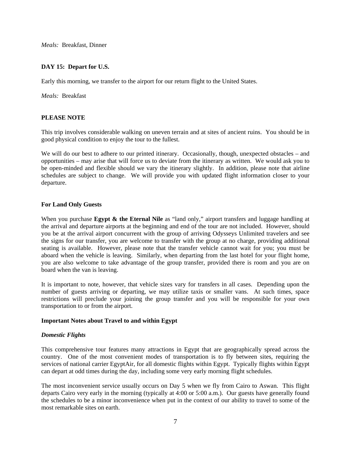*Meals:* Breakfast, Dinner

# **DAY 15: Depart for U.S.**

Early this morning, we transfer to the airport for our return flight to the United States.

*Meals:* Breakfast

# **PLEASE NOTE**

This trip involves considerable walking on uneven terrain and at sites of ancient ruins. You should be in good physical condition to enjoy the tour to the fullest.

We will do our best to adhere to our printed itinerary. Occasionally, though, unexpected obstacles – and opportunities – may arise that will force us to deviate from the itinerary as written. We would ask you to be open-minded and flexible should we vary the itinerary slightly. In addition, please note that airline schedules are subject to change. We will provide you with updated flight information closer to your departure.

#### **For Land Only Guests**

When you purchase **Egypt & the Eternal Nile** as "land only," airport transfers and luggage handling at the arrival and departure airports at the beginning and end of the tour are not included. However, should you be at the arrival airport concurrent with the group of arriving Odysseys Unlimited travelers and see the signs for our transfer, you are welcome to transfer with the group at no charge, providing additional seating is available. However, please note that the transfer vehicle cannot wait for you; you must be aboard when the vehicle is leaving. Similarly, when departing from the last hotel for your flight home, you are also welcome to take advantage of the group transfer, provided there is room and you are on board when the van is leaving.

It is important to note, however, that vehicle sizes vary for transfers in all cases. Depending upon the number of guests arriving or departing, we may utilize taxis or smaller vans. At such times, space restrictions will preclude your joining the group transfer and you will be responsible for your own transportation to or from the airport.

#### **Important Notes about Travel to and within Egypt**

#### *Domestic Flights*

This comprehensive tour features many attractions in Egypt that are geographically spread across the country. One of the most convenient modes of transportation is to fly between sites, requiring the services of national carrier EgyptAir, for all domestic flights within Egypt. Typically flights within Egypt can depart at odd times during the day, including some very early morning flight schedules.

The most inconvenient service usually occurs on Day 5 when we fly from Cairo to Aswan. This flight departs Cairo very early in the morning (typically at 4:00 or 5:00 a.m.). Our guests have generally found the schedules to be a minor inconvenience when put in the context of our ability to travel to some of the most remarkable sites on earth.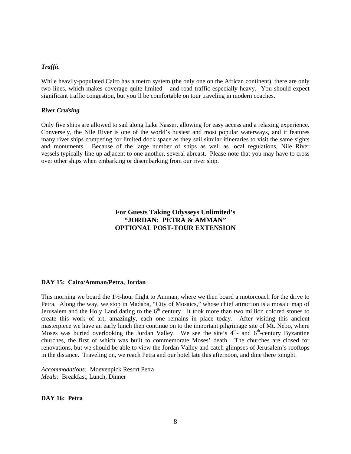#### *Traffic*

While heavily-populated Cairo has a metro system (the only one on the African continent), there are only two lines, which makes coverage quite limited – and road traffic especially heavy. You should expect significant traffic congestion, but you'll be comfortable on tour traveling in modern coaches.

#### *River Cruising*

Only five ships are allowed to sail along Lake Nasser, allowing for easy access and a relaxing experience. Conversely, the Nile River is one of the world's busiest and most popular waterways, and it features many river ships competing for limited dock space as they sail similar itineraries to visit the same sights and monuments. Because of the large number of ships as well as local regulations, Nile River vessels typically line up adjacent to one another, several abreast. Please note that you may have to cross over other ships when embarking or disembarking from our river ship.

# **For Guests Taking Odysseys Unlimited's "JORDAN: PETRA & AMMAN" OPTIONAL POST-TOUR EXTENSION**

# **DAY 15: Cairo/Amman/Petra, Jordan**

This morning we board the 1½-hour flight to Amman, where we then board a motorcoach for the drive to Petra. Along the way, we stop in Madaba, "City of Mosaics," whose chief attraction is a mosaic map of Jerusalem and the Holy Land dating to the  $6<sup>th</sup>$  century. It took more than two million colored stones to create this work of art; amazingly, each one remains in place today. After visiting this ancient masterpiece we have an early lunch then continue on to the important pilgrimage site of Mt. Nebo, where Moses was buried overlooking the Jordan Valley. We see the site's  $4<sup>th</sup>$  and  $6<sup>th</sup>$ -century Byzantine churches, the first of which was built to commemorate Moses' death. The churches are closed for renovations, but we should be able to view the Jordan Valley and catch glimpses of Jerusalem's rooftops in the distance. Traveling on, we reach Petra and our hotel late this afternoon, and dine there tonight.

*Accommodations:* Moevenpick Resort Petra *Meals:* Breakfast, Lunch, Dinner

**DAY 16: Petra**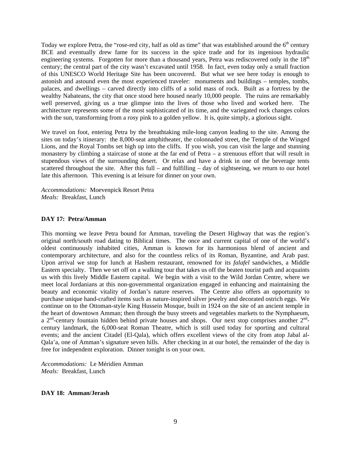Today we explore Petra, the "rose-red city, half as old as time" that was established around the 6<sup>th</sup> century BCE and eventually drew fame for its success in the spice trade and for its ingenious hydraulic engineering systems. Forgotten for more than a thousand years, Petra was rediscovered only in the 18<sup>th</sup> century; the central part of the city wasn't excavated until 1958. In fact, even today only a small fraction of this UNESCO World Heritage Site has been uncovered. But what we see here today is enough to astonish and astound even the most experienced traveler: monuments and buildings – temples, tombs, palaces, and dwellings – carved directly into cliffs of a solid mass of rock. Built as a fortress by the wealthy Nabateans, the city that once stood here housed nearly 10,000 people. The ruins are remarkably well preserved, giving us a true glimpse into the lives of those who lived and worked here. The architecture represents some of the most sophisticated of its time, and the variegated rock changes colors with the sun, transforming from a rosy pink to a golden yellow. It is, quite simply, a glorious sight.

We travel on foot, entering Petra by the breathtaking mile-long canyon leading to the site. Among the sites on today's itinerary: the 8,000-seat amphitheater, the colonnaded street, the Temple of the Winged Lions, and the Royal Tombs set high up into the cliffs. If you wish, you can visit the large and stunning monastery by climbing a staircase of stone at the far end of Petra – a strenuous effort that will result in stupendous views of the surrounding desert. Or relax and have a drink in one of the beverage tents scattered throughout the site. After this full – and fulfilling – day of sightseeing, we return to our hotel late this afternoon. This evening is at leisure for dinner on your own.

*Accommodations:* Moevenpick Resort Petra *Meals:* Breakfast, Lunch

# **DAY 17: Petra/Amman**

This morning we leave Petra bound for Amman, traveling the Desert Highway that was the region's original north/south road dating to Biblical times. The once and current capital of one of the world's oldest continuously inhabited cities, Amman is known for its harmonious blend of ancient and contemporary architecture, and also for the countless relics of its Roman, Byzantine, and Arab past. Upon arrival we stop for lunch at Hashem restaurant, renowned for its *falafel* sandwiches, a Middle Eastern specialty. Then we set off on a walking tour that takes us off the beaten tourist path and acquaints us with this lively Middle Eastern capital. We begin with a visit to the Wild Jordan Centre, where we meet local Jordanians at this non-governmental organization engaged in enhancing and maintaining the beauty and economic vitality of Jordan's nature reserves. The Centre also offers an opportunity to purchase unique hand-crafted items such as nature-inspired silver jewelry and decorated ostrich eggs. We continue on to the Ottoman-style King Hussein Mosque, built in 1924 on the site of an ancient temple in the heart of downtown Amman; then through the busy streets and vegetables markets to the Nymphaeum, a  $2<sup>nd</sup>$ -century fountain hidden behind private houses and shops. Our next stop comprises another  $2<sup>nd</sup>$ century landmark, the 6,000-seat Roman Theatre, which is still used today for sporting and cultural events; and the ancient Citadel (El-Qala), which offers excellent views of the city from atop Jabal al-Qala'a, one of Amman's signature seven hills. After checking in at our hotel, the remainder of the day is free for independent exploration. Dinner tonight is on your own.

*Accommodations:* Le Méridien Amman *Meals:* Breakfast, Lunch

#### **DAY 18: Amman/Jerash**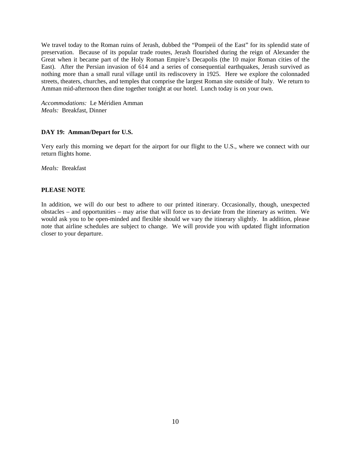We travel today to the Roman ruins of Jerash, dubbed the "Pompeii of the East" for its splendid state of preservation. Because of its popular trade routes, Jerash flourished during the reign of Alexander the Great when it became part of the Holy Roman Empire's Decapolis (the 10 major Roman cities of the East). After the Persian invasion of 614 and a series of consequential earthquakes, Jerash survived as nothing more than a small rural village until its rediscovery in 1925. Here we explore the colonnaded streets, theaters, churches, and temples that comprise the largest Roman site outside of Italy. We return to Amman mid-afternoon then dine together tonight at our hotel. Lunch today is on your own.

*Accommodations:* Le Méridien Amman *Meals:* Breakfast, Dinner

#### **DAY 19: Amman/Depart for U.S.**

Very early this morning we depart for the airport for our flight to the U.S., where we connect with our return flights home.

*Meals:* Breakfast

#### **PLEASE NOTE**

In addition, we will do our best to adhere to our printed itinerary. Occasionally, though, unexpected obstacles – and opportunities – may arise that will force us to deviate from the itinerary as written. We would ask you to be open-minded and flexible should we vary the itinerary slightly. In addition, please note that airline schedules are subject to change. We will provide you with updated flight information closer to your departure.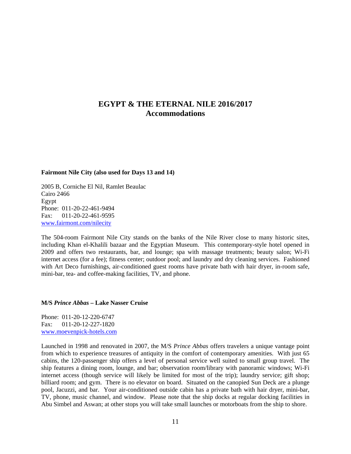# **EGYPT & THE ETERNAL NILE 2016/2017 Accommodations**

#### **Fairmont Nile City (also used for Days 13 and 14)**

2005 B, Corniche El Nil, Ramlet Beaulac Cairo 2466 Egypt Phone: 011-20-22-461-9494 Fax: 011-20-22-461-9595 www.fairmont.com/nilecity

The 504-room Fairmont Nile City stands on the banks of the Nile River close to many historic sites, including Khan el-Khalili bazaar and the Egyptian Museum. This contemporary-style hotel opened in 2009 and offers two restaurants, bar, and lounge; spa with massage treatments; beauty salon; Wi-Fi internet access (for a fee); fitness center; outdoor pool; and laundry and dry cleaning services. Fashioned with Art Deco furnishings, air-conditioned guest rooms have private bath with hair dryer, in-room safe, mini-bar, tea- and coffee-making facilities, TV, and phone.

#### **M/S** *Prince Abbas* **– Lake Nasser Cruise**

Phone: 011-20-12-220-6747 Fax: 011-20-12-227-1820 www.moevenpick-hotels.com

Launched in 1998 and renovated in 2007, the M/S *Prince Abbas* offers travelers a unique vantage point from which to experience treasures of antiquity in the comfort of contemporary amenities. With just 65 cabins, the 120-passenger ship offers a level of personal service well suited to small group travel. The ship features a dining room, lounge, and bar; observation room/library with panoramic windows; Wi-Fi internet access (though service will likely be limited for most of the trip); laundry service; gift shop; billiard room; and gym. There is no elevator on board. Situated on the canopied Sun Deck are a plunge pool, Jacuzzi, and bar. Your air-conditioned outside cabin has a private bath with hair dryer, mini-bar, TV, phone, music channel, and window. Please note that the ship docks at regular docking facilities in Abu Simbel and Aswan; at other stops you will take small launches or motorboats from the ship to shore.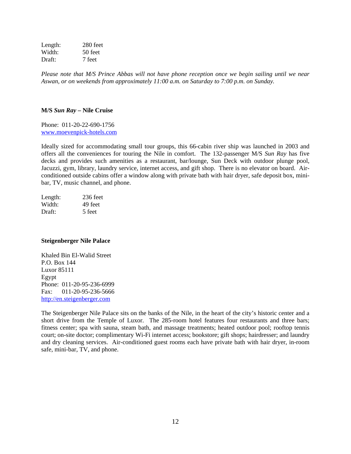Length: 280 feet Width: 50 feet Draft: 7 feet

*Please note that M/S Prince Abbas will not have phone reception once we begin sailing until we near Aswan, or on weekends from approximately 11:00 a.m. on Saturday to 7:00 p.m. on Sunday.* 

#### **M/S** *Sun Ray* **– Nile Cruise**

Phone: 011-20-22-690-1756 www.moevenpick-hotels.com

Ideally sized for accommodating small tour groups, this 66-cabin river ship was launched in 2003 and offers all the conveniences for touring the Nile in comfort. The 132-passenger M/S *Sun Ray* has five decks and provides such amenities as a restaurant, bar/lounge, Sun Deck with outdoor plunge pool, Jacuzzi, gym, library, laundry service, internet access, and gift shop. There is no elevator on board. Airconditioned outside cabins offer a window along with private bath with hair dryer, safe deposit box, minibar, TV, music channel, and phone.

| Length: | $236$ feet |
|---------|------------|
| Width:  | 49 feet    |
| Draft:  | 5 feet     |

#### **Steigenberger Nile Palace**

Khaled Bin El-Walid Street P.O. Box 144 Luxor 85111 Egypt Phone: 011-20-95-236-6999 Fax: 011-20-95-236-5666 http://en.steigenberger.com

The Steigenberger Nile Palace sits on the banks of the Nile, in the heart of the city's historic center and a short drive from the Temple of Luxor. The 285-room hotel features four restaurants and three bars; fitness center; spa with sauna, steam bath, and massage treatments; heated outdoor pool; rooftop tennis court; on-site doctor; complimentary Wi-Fi internet access; bookstore; gift shops; hairdresser; and laundry and dry cleaning services. Air-conditioned guest rooms each have private bath with hair dryer, in-room safe, mini-bar, TV, and phone.